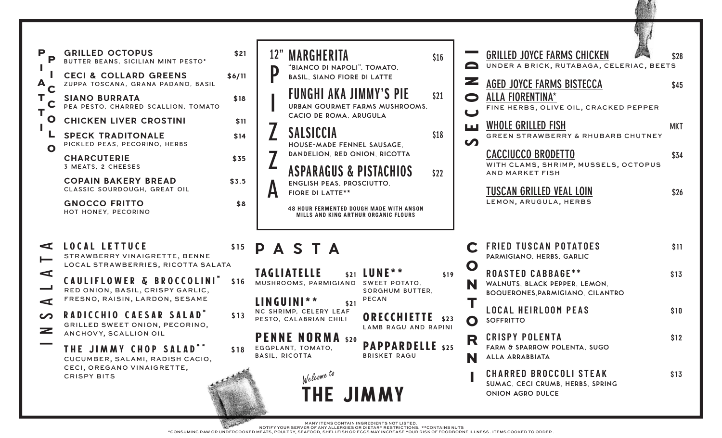| P<br>P<br>A<br>T.<br>Τ<br>$\bullet$<br>L<br>$\mathbf{o}$                                                        | <b>GRILLED OCTOPUS</b><br>BUTTER BEANS, SICILIAN MINT PESTO*<br><b>CECI &amp; COLLARD GREENS</b><br>ZUPPA TOSCANA, GRANA PADANO, BASIL<br><b>SIANO BURRATA</b><br>PEA PESTO, CHARRED SCALLION, TOMATO<br><b>CHICKEN LIVER CROSTINI</b><br><b>SPECK TRADITONALE</b><br>PICKLED PEAS, PECORINO, HERBS<br><b>CHARCUTERIE</b><br>3 MEATS, 2 CHEESES<br><b>COPAIN BAKERY BREAD</b><br>CLASSIC SOURDOUGH, GREAT OIL<br><b>GNOCCO FRITTO</b><br>HOT HONEY, PECORINO | \$21<br>\$6/11<br>\$18<br>\$11<br>\$14<br>\$35<br>\$3.5<br>\$8 | 12"<br>MARGHERITA<br><b>GRILLED JOYCE FARMS CHICKEN</b><br>\$16<br>UNDER A BRICK, RUTABAGA, CELERIAC, BEETS<br>$\blacksquare$<br>"BIANCO DI NAPOLI", TOMATO,<br>D<br><b>BASIL, SIANO FIORE DI LATTE</b><br>z<br><b>AGED JOYCE FARMS BISTECCA</b><br><b>FUNGHI AKA JIMMY'S PIE</b><br>\$21<br>ALLA FIORENTINA*<br>$\bullet$<br>URBAN GOURMET FARMS MUSHROOMS,<br>FINE HERBS, OLIVE OIL, CRACKED PEPPER<br>$\overline{\mathbf{u}}$<br>CACIO DE ROMA, ARUGULA<br>WHOLE GRILLED FISH<br>LШ<br><b>SALSICCIA</b><br>\$18<br><b>GREEN STRAWBERRY &amp; RHUBARB CHUTNEY</b><br>$\boldsymbol{\Omega}$<br>HOUSE-MADE FENNEL SAUSAGE.<br><b>CACCIUCCO BRODETTO</b><br>DANDELION, RED ONION, RICOTTA<br>WITH CLAMS, SHRIMP, MUSSELS, OCTOPUS<br>ASPARAGUS & PISTACHIOS<br>\$22<br><b>AND MARKET FISH</b><br><b>ENGLISH PEAS, PROSCIUTTO,</b><br>TUSCAN GRILLED VEAL LOIN<br>Ĥ<br><b>FIORE DI LATTE**</b><br>LEMON, ARUGULA, HERBS<br><b>48 HOUR FERMENTED DOUGH MADE WITH ANSON</b><br>MILLS AND KING ARTHUR ORGANIC FLOURS | \$28<br>\$45<br><b>MKT</b><br>\$34<br>\$26 |
|-----------------------------------------------------------------------------------------------------------------|--------------------------------------------------------------------------------------------------------------------------------------------------------------------------------------------------------------------------------------------------------------------------------------------------------------------------------------------------------------------------------------------------------------------------------------------------------------|----------------------------------------------------------------|-----------------------------------------------------------------------------------------------------------------------------------------------------------------------------------------------------------------------------------------------------------------------------------------------------------------------------------------------------------------------------------------------------------------------------------------------------------------------------------------------------------------------------------------------------------------------------------------------------------------------------------------------------------------------------------------------------------------------------------------------------------------------------------------------------------------------------------------------------------------------------------------------------------------------------------------------------------------------------------------------------------------|--------------------------------------------|
| $\blacktriangleleft$<br>$\overline{}$<br>$\blacktriangleleft$<br>$\blacktriangleleft$<br>$\sim$<br>$\mathbf{z}$ | <b>LOCAL LETTUCE</b><br>STRAWBERRY VINAIGRETTE, BENNE<br>LOCAL STRAWBERRIES, RICOTTA SALATA<br><b>CAULIFLOWER &amp; BROCCOLINI</b><br>RED ONION, BASIL, CRISPY GARLIC,<br>FRESNO, RAISIN, LARDON, SESAME<br>RADICCHIO CAESAR SALAD'<br>GRILLED SWEET ONION, PECORINO,<br>ANCHOVY, SCALLION OIL<br>THE JIMMY CHOP SALAD**<br>CUCUMBER, SALAMI, RADISH CACIO,<br>CECI, OREGANO VINAIGRETTE,<br><b>CRISPY BITS</b>                                              | \$15<br>\$16<br>\$13<br>\$18                                   | <b>FRIED TUSCAN POTATOES</b><br>PASTA<br>PARMIGIANO, HERBS, GARLIC<br>$\mathbf O$<br>\$21 LUNE **<br><b>TAGLIATELLE</b><br><b>ROASTED CABBAGE**</b><br>\$19<br>MUSHROOMS, PARMIGIANO<br><b>SWEET POTATO,</b><br>N<br>WALNUTS, BLACK PEPPER, LEMON,<br>SORGHUM BUTTER,<br><b>BOQUERONES, PARMIGIANO, CILANTRO</b><br><b>PECAN</b><br>LINGUINI**<br>\$21<br><b>LOCAL HEIRLOOM PEAS</b><br>NC SHRIMP, CELERY LEAF<br><b>ORECCHIETTE</b><br>\$23<br>PESTO, CALABRIAN CHILI<br><b>SOFFRITTO</b><br>$\mathbf O$<br><b>LAMB RAGU AND RAPINI</b><br><b>CRISPY POLENTA</b><br><b>PENNE NORMA</b> \$20<br>R<br><b>PAPPARDELLE</b> \$25<br>FARM & SPARROW POLENTA, SUGO<br>EGGPLANT, TOMATO,<br><b>BASIL, RICOTTA</b><br><b>BRISKET RAGU</b><br>ALLA ARRABBIATA<br>CHARRED BROCCOLI STEAK<br>Welcome to<br>SUMAC, CECI CRUMB, HERBS, SPRING<br><b>THE JIMMY</b><br>ONION AGRO DULCE                                                                                                                                        | \$11<br>\$13<br>\$10<br>\$12<br>\$13       |

(第二)

MANY ITEMS CONTAIN INGREDIENTS NOT LISTED.<br>NOTIFY YOUR SERVER OF ANY ALLERGIES OR DIETARY RESTRICTIONS. \*\*CONTAINS NUTS<br>CONSUMING RAW OR UNDERCOOKED MEATS, POULTRY, SEAFOOD, SHELLFISH OR EGGS MAY INCREASE YOUR RISK OF FOOD